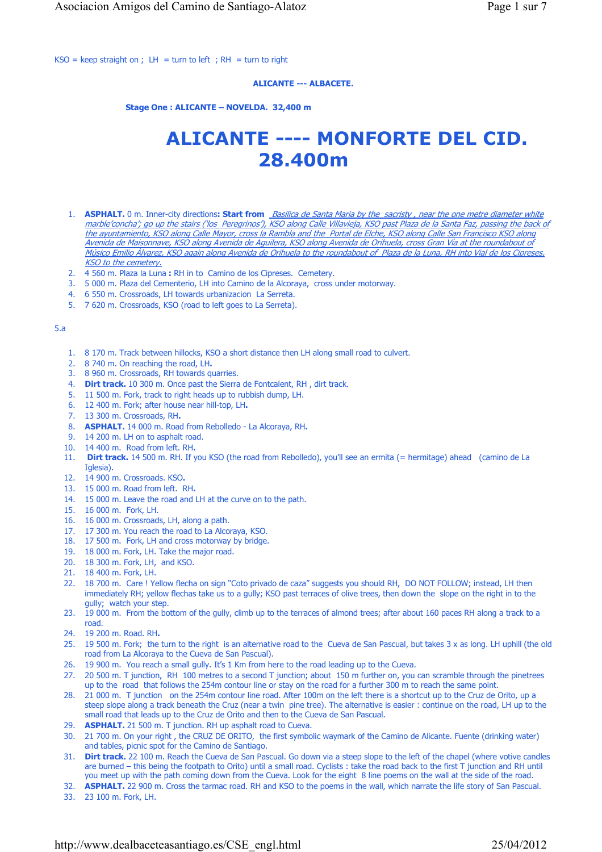$KSO =$  keep straight on ; LH = turn to left ; RH = turn to right

## **ALICANTE --- ALBACETE.**

 **Stage One : ALICANTE – NOVELDA. 32,400 m**

# **ALICANTE ---- MONFORTE DEL CID. 28.400m**

- 1. **ASPHALT.** 0 m. Inner-city directions: Start from *Basilica de Santa Maria by the sacristy, near the one metre diameter white* marble'concha'; go up the stairs ('los Peregrinos'), KSO along Calle Villavieja, KSO past Plaza de la Santa Faz, passing the back of the ayuntamiento, KSO along Calle Mayor, cross la Rambla and the Portal de Elche, KSO along Calle San Francisco KSO along Avenida de Maisonnave, KSO along Avenida de Aguilera, KSO along Avenida de Orihuela, cross Gran Vía at the roundabout of Músico Emilio Álvarez, KSO again along Avenida de Orihuela to the roundabout of Plaza de la Luna, RH into Vial de los Cipreses, **KSO** to the cemetery.
- 2. 4 560 m. Plaza la Luna **:** RH in to Camino de los Cipreses. Cemetery.
- 3. 5 000 m. Plaza del Cementerio, LH into Camino de la Alcoraya, cross under motorway.
- 4. 6 550 m. Crossroads, LH towards urbanizacion La Serreta.
- 5. 7 620 m. Crossroads, KSO (road to left goes to La Serreta).

## 5.a

- 1. 8 170 m. Track between hillocks, KSO a short distance then LH along small road to culvert.
- 2. 8 740 m. On reaching the road, LH**.**
- 3. 8 960 m. Crossroads, RH towards quarries.
- 4. **Dirt track.** 10 300 m. Once past the Sierra de Fontcalent, RH , dirt track.
- 5. 11 500 m. Fork, track to right heads up to rubbish dump, LH.
- 6. 12 400 m. Fork; after house near hill-top, LH**.**
- 7. 13 300 m. Crossroads, RH**.**
- 8. **ASPHALT.** 14 000 m. Road from Rebolledo La Alcoraya, RH**.**
- 9. 14 200 m. LH on to asphalt road.
- 10. 14 400 m. Road from left. RH**.**
- 11. **Dirt track.** 14 500 m. RH. If you KSO (the road from Rebolledo), you'll see an ermita (= hermitage) ahead (camino de La Iglesia).
- 12. 14 900 m. Crossroads. KSO**.**
- 13. 15 000 m. Road from left. RH**.**
- 14. 15 000 m. Leave the road and LH at the curve on to the path.
- 15. 16 000 m. Fork, LH.
- 16. 16 000 m. Crossroads, LH, along a path.
- 17. 17 300 m. You reach the road to La Alcoraya, KSO.
- 18. 17 500 m. Fork, LH and cross motorway by bridge.
- 19. 18 000 m. Fork, LH. Take the major road.
- 20. 18 300 m. Fork, LH, and KSO.
- 21. 18 400 m. Fork, LH.
- 22. 18 700 m. Care ! Yellow flecha on sign "Coto privado de caza" suggests you should RH, DO NOT FOLLOW; instead, LH then immediately RH; yellow flechas take us to a gully; KSO past terraces of olive trees, then down the slope on the right in to the gully; watch your step.
- 23. 19 000 m. From the bottom of the gully, climb up to the terraces of almond trees; after about 160 paces RH along a track to a road.
- 24. 19 200 m. Road. RH**.**
- 25. 19 500 m. Fork; the turn to the right is an alternative road to the Cueva de San Pascual, but takes 3 x as long. LH uphill (the old road from La Alcoraya to the Cueva de San Pascual).
- 26. 19 900 m. You reach a small gully. It's 1 Km from here to the road leading up to the Cueva.
- 27. 20 500 m. T junction, RH 100 metres to a second T junction; about 150 m further on, you can scramble through the pinetrees up to the road that follows the 254m contour line or stay on the road for a further 300 m to reach the same point.
- 28. 21 000 m. T junction on the 254m contour line road. After 100m on the left there is a shortcut up to the Cruz de Orito, up a steep slope along a track beneath the Cruz (near a twin pine tree). The alternative is easier : continue on the road, LH up to the small road that leads up to the Cruz de Orito and then to the Cueva de San Pascual.
- 29. **ASPHALT.** 21 500 m. T junction. RH up asphalt road to Cueva.
- 30. 21 700 m. On your right , the CRUZ DE ORITO, the first symbolic waymark of the Camino de Alicante. Fuente (drinking water) and tables, picnic spot for the Camino de Santiago.
- 31. **Dirt track.** 22 100 m. Reach the Cueva de San Pascual. Go down via a steep slope to the left of the chapel (where votive candles are burned – this being the footpath to Orito) until a small road. Cyclists : take the road back to the first T junction and RH until you meet up with the path coming down from the Cueva. Look for the eight 8 line poems on the wall at the side of the road.
- 32. **ASPHALT.** 22 900 m. Cross the tarmac road. RH and KSO to the poems in the wall, which narrate the life story of San Pascual.
- 33. 23 100 m. Fork, LH.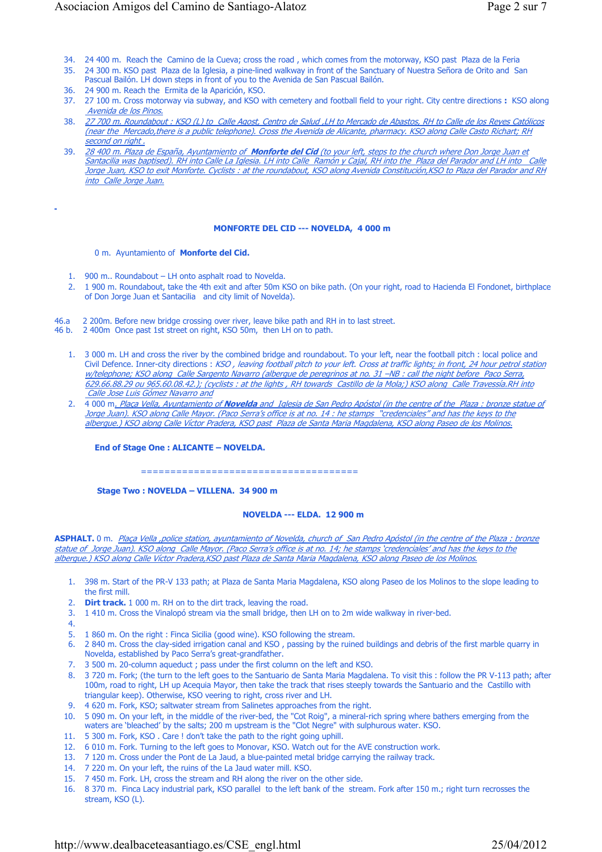- 34. 24 400 m. Reach the Camino de la Cueva; cross the road , which comes from the motorway, KSO past Plaza de la Feria
- 35. 24 300 m. KSO past Plaza de la Iglesia, a pine-lined walkway in front of the Sanctuary of Nuestra Señora de Orito and San Pascual Bailón. LH down steps in front of you to the Avenida de San Pascual Bailón.
- 36. 24 900 m. Reach the Ermita de la Aparición, KSO.
- 37. 27 100 m. Cross motorway via subway, and KSO with cemetery and football field to your right. City centre directions **:** KSO along Avenida de los Pinos.
- 38. 27 700 m. Roundabout : KSO (L) to Calle Agost, Centro de Salud ,LH to Mercado de Abastos, RH to Calle de los Reyes Católicos (near the Mercado,there is a public telephone). Cross the Avenida de Alicante, pharmacy. KSO along Calle Casto Richart; RH second on right.
- 39. 28 400 m. Plaza de España, Ayuntamiento of **Monforte del Cid** (to your left, steps to the church where Don Jorge Juan et Santacilia was baptised). RH into Calle La Iglesia. LH into Calle Ramón y Cajal, RH into the Plaza del Parador and LH into Calle Jorge Juan, KSO to exit Monforte. Cyclists : at the roundabout, KSO along Avenida Constitución,KSO to Plaza del Parador and RH into Calle Jorge Juan.

**MONFORTE DEL CID --- NOVELDA, 4 000 m** 

#### 0 m. Ayuntamiento of **Monforte del Cid.**

- 1. 900 m.. Roundabout LH onto asphalt road to Novelda.
- 2. 1 900 m. Roundabout, take the 4th exit and after 50m KSO on bike path. (On your right, road to Hacienda El Fondonet, birthplace of Don Jorge Juan et Santacilia and city limit of Novelda).
- 46.a 2 200m. Before new bridge crossing over river, leave bike path and RH in to last street.<br>46 b. 2 400m Once past 1st street on right. KSO 50m, then LH on to path.
- 2 400m Once past 1st street on right, KSO 50m, then LH on to path.
	- 1. 3 000 m. LH and cross the river by the combined bridge and roundabout. To your left, near the football pitch : local police and Civil Defence. Inner-city directions : KSO, leaving football pitch to your left. Cross at traffic lights; in front, 24 hour petrol station w/telephone; KSO along Calle Sargento Navarro (albergue de peregrinos at no. 31 –NB : call the night before Paco Serra, 629.66.88.29 ou 965.60.08.42.); (cyclists : at the lights , RH towards Castillo de la Mola;) KSO along Calle Travessía.RH into Calle Jose Luis Gómez Navarro and
	- 2. 4 000 m. Plaça Vella, Ayuntamiento of **Novelda** and Iglesia de San Pedro Apóstol (in the centre of the Plaza : bronze statue of Jorge Juan). KSO along Calle Mayor. (Paco Serra's office is at no. 14 : he stamps "credenciales" and has the keys to the albergue.) KSO along Calle Víctor Pradera, KSO past Plaza de Santa Maria Magdalena, KSO along Paseo de los Molinos.

 **End of Stage One : ALICANTE – NOVELDA.**

=====================================

 **Stage Two : NOVELDA – VILLENA. 34 900 m**

### **NOVELDA --- ELDA. 12 900 m**

ASPHALT. 0 m. *Plaça Vella ,police station, ayuntamiento of Novelda, church of San Pedro Apóstol (in the centre of the Plaza : bronze* statue of Jorge Juan). KSO along Calle Mayor. (Paco Serra's office is at no. 14; he stamps 'credenciales' and has the keys to the albergue.) KSO along Calle Víctor Pradera,KSO past Plaza de Santa Maria Magdalena, KSO along Paseo de los Molinos.

- 1. 398 m. Start of the PR-V 133 path; at Plaza de Santa Maria Magdalena, KSO along Paseo de los Molinos to the slope leading to the first mill.
- 2. **Dirt track.** 1 000 m. RH on to the dirt track, leaving the road.
- 3. 1 410 m. Cross the Vinalopó stream via the small bridge, then LH on to 2m wide walkway in river-bed.
- 4.
- 5. 1 860 m. On the right : Finca Sicilia (good wine). KSO following the stream.
- 6. 2 840 m. Cross the clay-sided irrigation canal and KSO , passing by the ruined buildings and debris of the first marble quarry in Novelda, established by Paco Serra's great-grandfather.
- 7. 3 500 m. 20-column aqueduct ; pass under the first column on the left and KSO.
- 8. 3 720 m. Fork; (the turn to the left goes to the Santuario de Santa Maria Magdalena. To visit this : follow the PR V-113 path; after 100m, road to right, LH up Acequia Mayor, then take the track that rises steeply towards the Santuario and the Castillo with triangular keep). Otherwise, KSO veering to right, cross river and LH.
- 9. 4 620 m. Fork, KSO; saltwater stream from Salinetes approaches from the right.
- 10. 5 090 m. On your left, in the middle of the river-bed, the "Cot Roig", a mineral-rich spring where bathers emerging from the waters are 'bleached' by the salts; 200 m upstream is the "Clot Negre" with sulphurous water. KSO.
- 11. 5 300 m. Fork, KSO . Care ! don't take the path to the right going uphill.
- 12. 6 010 m. Fork. Turning to the left goes to Monovar, KSO. Watch out for the AVE construction work.
- 13. 7 120 m. Cross under the Pont de La Jaud, a blue-painted metal bridge carrying the railway track.
- 14. 7 220 m. On your left, the ruins of the La Jaud water mill. KSO.
- 15. 7 450 m. Fork. LH, cross the stream and RH along the river on the other side.
- 16. 8 370 m. Finca Lacy industrial park, KSO parallel to the left bank of the stream. Fork after 150 m.; right turn recrosses the stream, KSO (L).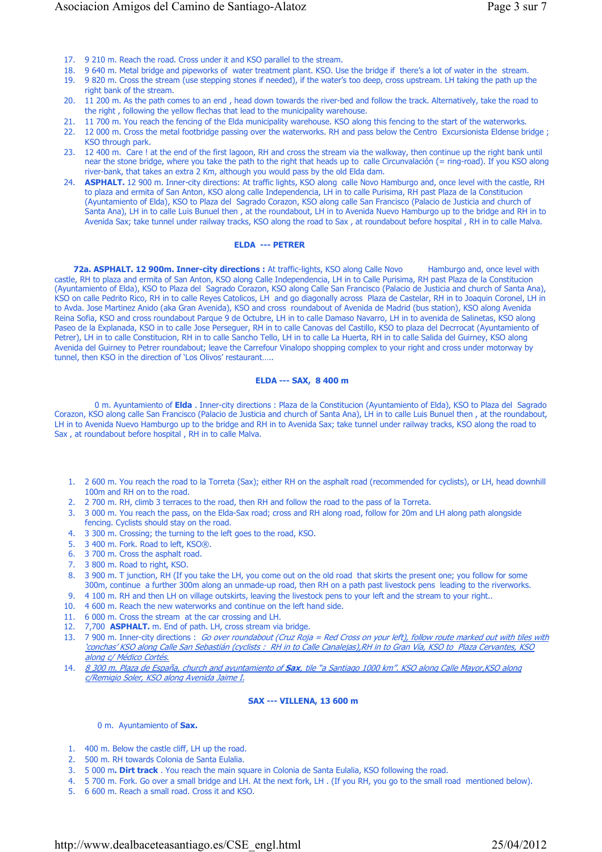- 17. 9 210 m. Reach the road. Cross under it and KSO parallel to the stream.
- 18. 9 640 m. Metal bridge and pipeworks of water treatment plant. KSO. Use the bridge if there's a lot of water in the stream.
- 19. 9 820 m. Cross the stream (use stepping stones if needed), if the water's too deep, cross upstream. LH taking the path up the right bank of the stream.
- 20. 11 200 m. As the path comes to an end , head down towards the river-bed and follow the track. Alternatively, take the road to the right , following the yellow flechas that lead to the municipality warehouse.
- 21. 11 700 m. You reach the fencing of the Elda municipality warehouse. KSO along this fencing to the start of the waterworks.
- 22. 12 000 m. Cross the metal footbridge passing over the waterworks. RH and pass below the Centro Excursionista Eldense bridge ; KSO through park.
- 23. 12 400 m. Care ! at the end of the first lagoon, RH and cross the stream via the walkway, then continue up the right bank until near the stone bridge, where you take the path to the right that heads up to calle Circunvalación (= ring-road). If you KSO along river-bank, that takes an extra 2 Km, although you would pass by the old Elda dam.
- 24. **ASPHALT.** 12 900 m. Inner-city directions: At traffic lights, KSO along calle Novo Hamburgo and, once level with the castle, RH to plaza and ermita of San Anton, KSO along calle Independencia, LH in to calle Purisima, RH past Plaza de la Constitucion (Ayuntamiento of Elda), KSO to Plaza del Sagrado Corazon, KSO along calle San Francisco (Palacio de Justicia and church of Santa Ana), LH in to calle Luis Bunuel then , at the roundabout, LH in to Avenida Nuevo Hamburgo up to the bridge and RH in to Avenida Sax; take tunnel under railway tracks, KSO along the road to Sax , at roundabout before hospital , RH in to calle Malva.

#### **ELDA --- PETRER**

 **72a. ASPHALT. 12 900m. Inner-city directions :** At traffic-lights, KSO along Calle Novo Hamburgo and, once level with castle, RH to plaza and ermita of San Anton, KSO along Calle Independencia, LH in to Calle Purisima, RH past Plaza de la Constitucion (Ayuntamiento of Elda), KSO to Plaza del Sagrado Corazon, KSO along Calle San Francisco (Palacio de Justicia and church of Santa Ana), KSO on calle Pedrito Rico, RH in to calle Reyes Catolicos, LH and go diagonally across Plaza de Castelar, RH in to Joaquin Coronel, LH in to Avda. Jose Martinez Anido (aka Gran Avenida), KSO and cross roundabout of Avenida de Madrid (bus station), KSO along Avenida Reina Sofia, KSO and cross roundabout Parque 9 de Octubre, LH in to calle Damaso Navarro, LH in to avenida de Salinetas, KSO along Paseo de la Explanada, KSO in to calle Jose Perseguer, RH in to calle Canovas del Castillo, KSO to plaza del Decrrocat (Ayuntamiento of Petrer), LH in to calle Constitucion, RH in to calle Sancho Tello, LH in to calle La Huerta, RH in to calle Salida del Guirney, KSO along Avenida del Guirney to Petrer roundabout; leave the Carrefour Vinalopo shopping complex to your right and cross under motorway by tunnel, then KSO in the direction of 'Los Olivos' restaurant…..

#### **ELDA --- SAX, 8 400 m**

0 m. Ayuntamiento of **Elda** . Inner-city directions : Plaza de la Constitucion (Ayuntamiento of Elda), KSO to Plaza del Sagrado Corazon, KSO along calle San Francisco (Palacio de Justicia and church of Santa Ana), LH in to calle Luis Bunuel then , at the roundabout, LH in to Avenida Nuevo Hamburgo up to the bridge and RH in to Avenida Sax; take tunnel under railway tracks, KSO along the road to Sax , at roundabout before hospital , RH in to calle Malva.

- 1. 2 600 m. You reach the road to la Torreta (Sax); either RH on the asphalt road (recommended for cyclists), or LH, head downhill 100m and RH on to the road.
- 2. 2 700 m. RH, climb 3 terraces to the road, then RH and follow the road to the pass of la Torreta.
- 3. 3 000 m. You reach the pass, on the Elda-Sax road; cross and RH along road, follow for 20m and LH along path alongside fencing. Cyclists should stay on the road.
- 4. 3 300 m. Crossing; the turning to the left goes to the road, KSO.
- 5. 3 400 m. Fork. Road to left, KSO®.
- 6. 3 700 m. Cross the asphalt road.
- 7. 3 800 m. Road to right, KSO.
- 8. 3 900 m. T junction, RH (If you take the LH, you come out on the old road that skirts the present one; you follow for some 300m, continue a further 300m along an unmade-up road, then RH on a path past livestock pens leading to the riverworks.
- 9. 4 100 m. RH and then LH on village outskirts, leaving the livestock pens to your left and the stream to your right..
- 10. 4 600 m. Reach the new waterworks and continue on the left hand side.
- 11. 6 000 m. Cross the stream at the car crossing and LH.
- 12. 7,700 **ASPHALT.** m. End of path. LH, cross stream via bridge.
- 13. 7 900 m. Inner-city directions : Go over roundabout (Cruz Roja = Red Cross on your left), follow route marked out with tiles with 'conchas' KSO along Calle San Sebastián (cyclists : RH in to Calle Canalejas),RH in to Gran Vía, KSO to Plaza Cervantes, KSO along c/ Médico Cortés.
- 14. 8 300 m. Plaza de España, church and ayuntamiento of **Sax**, tile "a Santiago 1000 km". KSO along Calle Mayor,KSO along c/Remigio Soler, KSO along Avenida Jaime I.

## **SAX --- VILLENA, 13 600 m**

0 m. Ayuntamiento of **Sax.**

- 1. 400 m. Below the castle cliff, LH up the road.
- 2. 500 m. RH towards Colonia de Santa Eulalia.
- 3. 5 000 m**. Dirt track** . You reach the main square in Colonia de Santa Eulalia, KSO following the road.
- 4. 5 700 m. Fork. Go over a small bridge and LH. At the next fork, LH . (If you RH, you go to the small road mentioned below).
- 5. 6 600 m. Reach a small road. Cross it and KSO.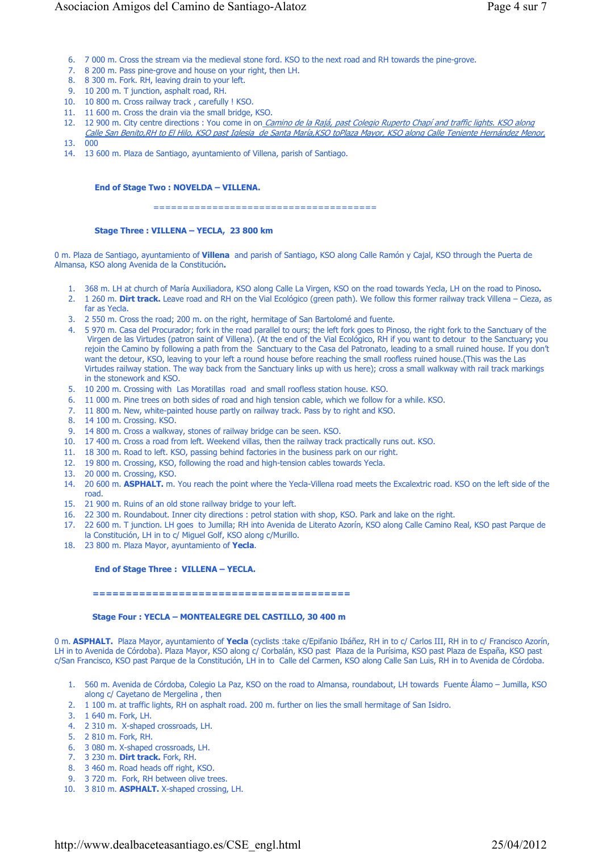- 6. 7 000 m. Cross the stream via the medieval stone ford. KSO to the next road and RH towards the pine-grove.
- 7. 8 200 m. Pass pine-grove and house on your right, then LH.
- 8. 8 300 m. Fork. RH, leaving drain to your left.
- 9. 10 200 m. T junction, asphalt road, RH.
- 10. 10 800 m. Cross railway track , carefully ! KSO.
- 11. 11 600 m. Cross the drain via the small bridge, KSO.
- 12. 12 900 m. City centre directions : You come in on Camino de la Rajá, past Colegio Ruperto Chapí and traffic lights. KSO along Calle San Benito,RH to El Hilo, KSO past Iglesia de Santa María,KSO toPlaza Mayor, KSO along Calle Teniente Hernández Menor,
- 13. 000
- 14. 13 600 m. Plaza de Santiago, ayuntamiento of Villena, parish of Santiago.

### **End of Stage Two : NOVELDA – VILLENA.**

======================================

### **Stage Three : VILLENA – YECLA, 23 800 km**

0 m. Plaza de Santiago, ayuntamiento of **Villena** and parish of Santiago, KSO along Calle Ramón y Cajal, KSO through the Puerta de Almansa, KSO along Avenida de la Constitución**.**

- 1. 368 m. LH at church of María Auxiliadora, KSO along Calle La Virgen, KSO on the road towards Yecla, LH on the road to Pinoso**.**
- 2. 1 260 m. **Dirt track.** Leave road and RH on the Vial Ecológico (green path). We follow this former railway track Villena Cieza, as far as Yecla.
- 3. 2 550 m. Cross the road; 200 m. on the right, hermitage of San Bartolomé and fuente.
- 4. 5 970 m. Casa del Procurador; fork in the road parallel to ours; the left fork goes to Pinoso, the right fork to the Sanctuary of the Virgen de las Virtudes (patron saint of Villena). (At the end of the Vial Ecológico, RH if you want to detour to the Sanctuary**;** you rejoin the Camino by following a path from the Sanctuary to the Casa del Patronato, leading to a small ruined house. If you don't want the detour, KSO, leaving to your left a round house before reaching the small roofless ruined house.(This was the Las Virtudes railway station. The way back from the Sanctuary links up with us here); cross a small walkway with rail track markings in the stonework and KSO.
- 5. 10 200 m. Crossing with Las Moratillas road and small roofless station house. KSO.
- 6. 11 000 m. Pine trees on both sides of road and high tension cable, which we follow for a while. KSO.
- 7. 11 800 m. New, white-painted house partly on railway track. Pass by to right and KSO.
- 8. 14 100 m. Crossing. KSO.
- 9. 14 800 m. Cross a walkway, stones of railway bridge can be seen. KSO.
- 10. 17 400 m. Cross a road from left. Weekend villas, then the railway track practically runs out. KSO.
- 11. 18 300 m. Road to left. KSO, passing behind factories in the business park on our right.
- 12. 19 800 m. Crossing, KSO, following the road and high-tension cables towards Yecla.
- 13. 20 000 m. Crossing, KSO.
- 14. 20 600 m. **ASPHALT.** m. You reach the point where the Yecla-Villena road meets the Excalextric road. KSO on the left side of the road.
- 15. 21 900 m. Ruins of an old stone railway bridge to your left.
- 16. 22 300 m. Roundabout. Inner city directions : petrol station with shop, KSO. Park and lake on the right.
- 17. 22 600 m. T junction. LH goes to Jumilla; RH into Avenida de Literato Azorín, KSO along Calle Camino Real, KSO past Parque de la Constitución, LH in to c/ Miguel Golf, KSO along c/Murillo.
- 18. 23 800 m. Plaza Mayor, ayuntamiento of **Yecla**.

#### **End of Stage Three : VILLENA – YECLA.**

#### **=======================================**

#### **Stage Four : YECLA – MONTEALEGRE DEL CASTILLO, 30 400 m**

0 m. **ASPHALT.** Plaza Mayor, ayuntamiento of **Yecla** (cyclists :take c/Epifanio Ibáñez, RH in to c/ Carlos III, RH in to c/ Francisco Azorín, LH in to Avenida de Córdoba). Plaza Mayor, KSO along c/ Corbalán, KSO past Plaza de la Purísima, KSO past Plaza de España, KSO past c/San Francisco, KSO past Parque de la Constitución, LH in to Calle del Carmen, KSO along Calle San Luis, RH in to Avenida de Córdoba.

- 1. 560 m. Avenida de Córdoba, Colegio La Paz, KSO on the road to Almansa, roundabout, LH towards Fuente Álamo Jumilla, KSO along c/ Cayetano de Mergelina , then
- 2. 1 100 m. at traffic lights, RH on asphalt road. 200 m. further on lies the small hermitage of San Isidro.
- 3. 1 640 m. Fork, LH.
- 4. 2 310 m. X-shaped crossroads, LH.
- 5. 2 810 m. Fork, RH.
- 6. 3 080 m. X-shaped crossroads, LH.
- 7. 3 230 m. **Dirt track.** Fork, RH.
- 8. 3 460 m. Road heads off right, KSO.
- 9. 3 720 m. Fork, RH between olive trees.
- 10. 3 810 m. **ASPHALT.** X-shaped crossing, LH.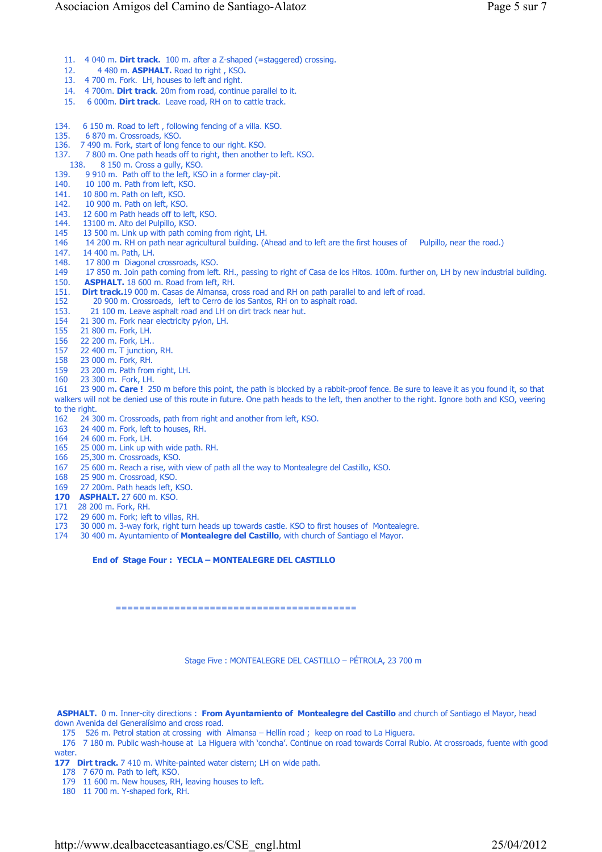- 11. 4 040 m. **Dirt track.** 100 m. after a Z-shaped (=staggered) crossing.
- 12. 4 480 m. **ASPHALT.** Road to right , KSO**.**
- 13. 4 700 m. Fork. LH, houses to left and right.
- 14. 4 700m. **Dirt track**. 20m from road, continue parallel to it.
- 15. 6 000m. **Dirt track**. Leave road, RH on to cattle track.
- 134. 6 150 m. Road to left , following fencing of a villa. KSO.
- 135. 6 870 m. Crossroads, KSO.
- 136. 7 490 m. Fork, start of long fence to our right. KSO.
- 137. 7 800 m. One path heads off to right, then another to left. KSO.
- 138. 8 150 m. Cross a gully, KSO.
- 139. 9 910 m. Path off to the left, KSO in a former clay-pit.
- 140. 10 100 m. Path from left, KSO.
- 141. 10 800 m. Path on left, KSO.<br>142. 10 900 m. Path on left, KSO.
- 10 900 m. Path on left, KSO.
- 143. 12 600 m Path heads off to left, KSO.
- 144. 13100 m. Alto del Pulpillo, KSO.
- 145 13 500 m. Link up with path coming from right, LH.
- 146 14 200 m. RH on path near agricultural building. (Ahead and to left are the first houses of Pulpillo, near the road.)
- 147. 14 400 m. Path, LH.<br>148 17 800 m Diagonal
- 148. 17 800 m Diagonal crossroads, KSO.<br>149 17 850 m. Join path coming from left
- 149 17 850 m. Join path coming from left. RH., passing to right of Casa de los Hitos. 100m. further on, LH by new industrial building.<br>150 **ASPHALT**. 18 600 m. Road from left. RH
- 150. **ASPHALT.** 18 600 m. Road from left, RH.<br>151. **Dirt track.** 19 000 m. Casas de Almansa, co.
- 151. **Dirt track.**19 000 m. Casas de Almansa, cross road and RH on path parallel to and left of road.<br>152 20 900 m. Crossroads. Jeft to Cerro de los Santos. RH on to asphalt road.
- 20 900 m. Crossroads, left to Cerro de los Santos, RH on to asphalt road.
- 153. 21 100 m. Leave asphalt road and LH on dirt track near hut.
- 154 21 300 m. Fork near electricity pylon, LH.
- 155 21 800 m. Fork, LH.<br>156 22 200 m. Fork, LH.
- 156 22 200 m. Fork, LH..<br>157 22 400 m. T junction
- 22 400 m. T junction, RH.
- 158 23 000 m. Fork, RH.<br>159 23 200 m Path from
- 159 23 200 m. Path from right, LH.<br>160 23 300 m Fork LH
- 23 300 m. Fork, LH.
- 161 23 900 m**. Care !** 250 m before this point, the path is blocked by a rabbit-proof fence. Be sure to leave it as you found it, so that walkers will not be denied use of this route in future. One path heads to the left, then another to the right. Ignore both and KSO, veering to the right.
- 162 24 300 m. Crossroads, path from right and another from left, KSO.
- 163 24 400 m. Fork, left to houses, RH.
- 164 24 600 m. Fork, LH.<br>165 25 000 m. Link up w
- 165 25 000 m. Link up with wide path. RH.<br>166 25 300 m. Crossroads, KSO
- 25,300 m. Crossroads, KSO.
- 167 25 600 m. Reach a rise, with view of path all the way to Montealegre del Castillo, KSO.
- 168 25 900 m. Crossroad, KSO.
- 169 27 200m. Path heads left, KSO.
- **170 ASPHALT.** 27 600 m. KSO.
- 171 28 200 m. Fork, RH.
- 172 29 600 m. Fork; left to villas, RH.<br>173 30 000 m. 3-way fork, right turn
- 173 30 000 m. 3-way fork, right turn heads up towards castle. KSO to first houses of Montealegre.
- 174 30 400 m. Ayuntamiento of **Montealegre del Castillo**, with church of Santiago el Mayor.

#### **End of Stage Four : YECLA – MONTEALEGRE DEL CASTILLO**

=========================================

Stage Five : MONTEALEGRE DEL CASTILLO – PÉTROLA, 23 700 m

**ASPHALT.** 0 m. Inner-city directions : **From Ayuntamiento of Montealegre del Castillo** and church of Santiago el Mayor, head down Avenida del Generalísimo and cross road.

175 526 m. Petrol station at crossing with Almansa – Hellín road ; keep on road to La Higuera.

 176 7 180 m. Public wash-house at La Higuera with 'concha'. Continue on road towards Corral Rubio. At crossroads, fuente with good water.

177 Dirt track. 7 410 m. White-painted water cistern; LH on wide path.

178 7 670 m. Path to left, KSO.

179 11 600 m. New houses, RH, leaving houses to left.

180 11 700 m. Y-shaped fork, RH.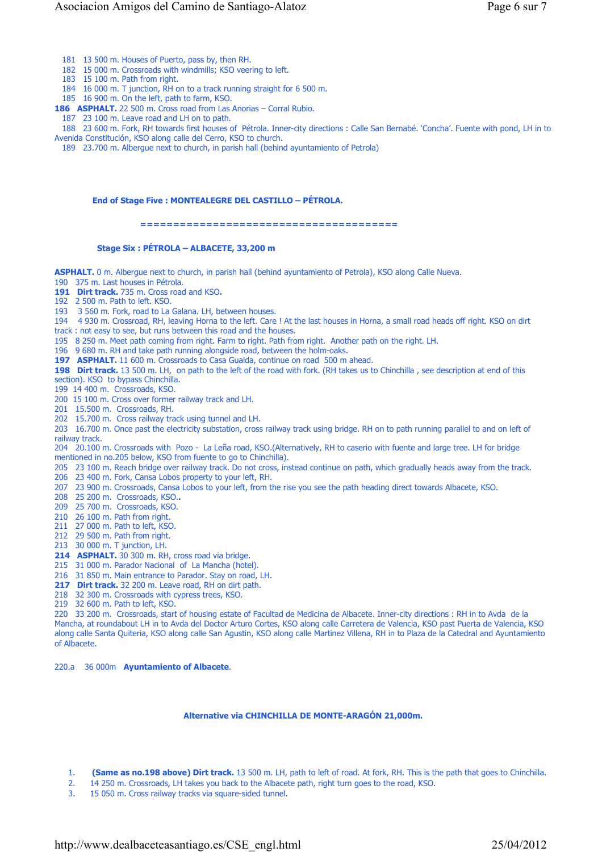181 13 500 m. Houses of Puerto, pass by, then RH.

182 15 000 m. Crossroads with windmills; KSO veering to left.

183 15 100 m. Path from right.

184 16 000 m. T junction, RH on to a track running straight for 6 500 m.

185 16 900 m. On the left, path to farm, KSO.

**186 ASPHALT.** 22 500 m. Cross road from Las Anorias – Corral Rubio.

187 23 100 m. Leave road and LH on to path.

 188 23 600 m. Fork, RH towards first houses of Pétrola. Inner-city directions : Calle San Bernabé. 'Concha'. Fuente with pond, LH in to Avenida Constitución, KSO along calle del Cerro, KSO to church.

189 23.700 m. Albergue next to church, in parish hall (behind ayuntamiento of Petrola)

#### **End of Stage Five : MONTEALEGRE DEL CASTILLO – PÉTROLA.**

#### **=======================================**

#### **Stage Six : PÉTROLA – ALBACETE, 33,200 m**

**ASPHALT.** 0 m. Albergue next to church, in parish hall (behind ayuntamiento of Petrola), KSO along Calle Nueva.

190 375 m. Last houses in Pétrola.

**191 Dirt track.** 735 m. Cross road and KSO**.**

192 2 500 m. Path to left. KSO.

193 3 560 m. Fork, road to La Galana. LH, between houses.

194 4 930 m. Crossroad, RH, leaving Horna to the left. Care ! At the last houses in Horna, a small road heads off right. KSO on dirt track : not easy to see, but runs between this road and the houses.

195 8 250 m. Meet path coming from right. Farm to right. Path from right. Another path on the right. LH.

196 9 680 m. RH and take path running alongside road, between the holm-oaks.

197 **ASPHALT.** 11 600 m. Crossroads to Casa Gualda, continue on road 500 m ahead.

**198 Dirt track.** 13 500 m. LH, on path to the left of the road with fork. (RH takes us to Chinchilla , see description at end of this section). KSO to bypass Chinchilla.

199 14 400 m. Crossroads, KSO.

200 15 100 m. Cross over former railway track and LH.

201 15.500 m. Crossroads, RH.

202 15.700 m. Cross railway track using tunnel and LH.

203 16.700 m. Once past the electricity substation, cross railway track using bridge. RH on to path running parallel to and on left of railway track.

204 20.100 m. Crossroads with Pozo - La Leña road, KSO.(Alternatively, RH to caserio with fuente and large tree. LH for bridge mentioned in no.205 below, KSO from fuente to go to Chinchilla).

205 23 100 m. Reach bridge over railway track. Do not cross, instead continue on path, which gradually heads away from the track. 206 23 400 m. Fork, Cansa Lobos property to your left, RH.

- 207 23 900 m. Crossroads, Cansa Lobos to your left, from the rise you see the path heading direct towards Albacete, KSO.
- 208 25 200 m. Crossroads, KSO.**.**
- 209 25 700 m. Crossroads, KSO.
- 210 26 100 m. Path from right.
- 211 27 000 m. Path to left, KSO.
- 212 29 500 m. Path from right.
- 213 30 000 m. T junction, LH.
- **214 ASPHALT.** 30 300 m. RH, cross road via bridge.
- 215 31 000 m. Parador Nacional of La Mancha (hotel).

216 31 850 m. Main entrance to Parador. Stay on road, LH.

**217 Dirt track.** 32 200 m. Leave road, RH on dirt path.

218 32 300 m. Crossroads with cypress trees, KSO.

219 32 600 m. Path to left, KSO.

220 33 200 m. Crossroads, start of housing estate of Facultad de Medicina de Albacete. Inner-city directions : RH in to Avda de la Mancha, at roundabout LH in to Avda del Doctor Arturo Cortes, KSO along calle Carretera de Valencia, KSO past Puerta de Valencia, KSO along calle Santa Quiteria, KSO along calle San Agustin, KSO along calle Martinez Villena, RH in to Plaza de la Catedral and Ayuntamiento of Albacete.

220.a 36 000m **Ayuntamiento of Albacete**.

#### **Alternative via CHINCHILLA DE MONTE-ARAGÓN 21,000m.**

- 1. **(Same as no.198 above) Dirt track.** 13 500 m. LH, path to left of road. At fork, RH. This is the path that goes to Chinchilla.
- 2. 14 250 m. Crossroads, LH takes you back to the Albacete path, right turn goes to the road, KSO.
- 3. 15 050 m. Cross railway tracks via square-sided tunnel.